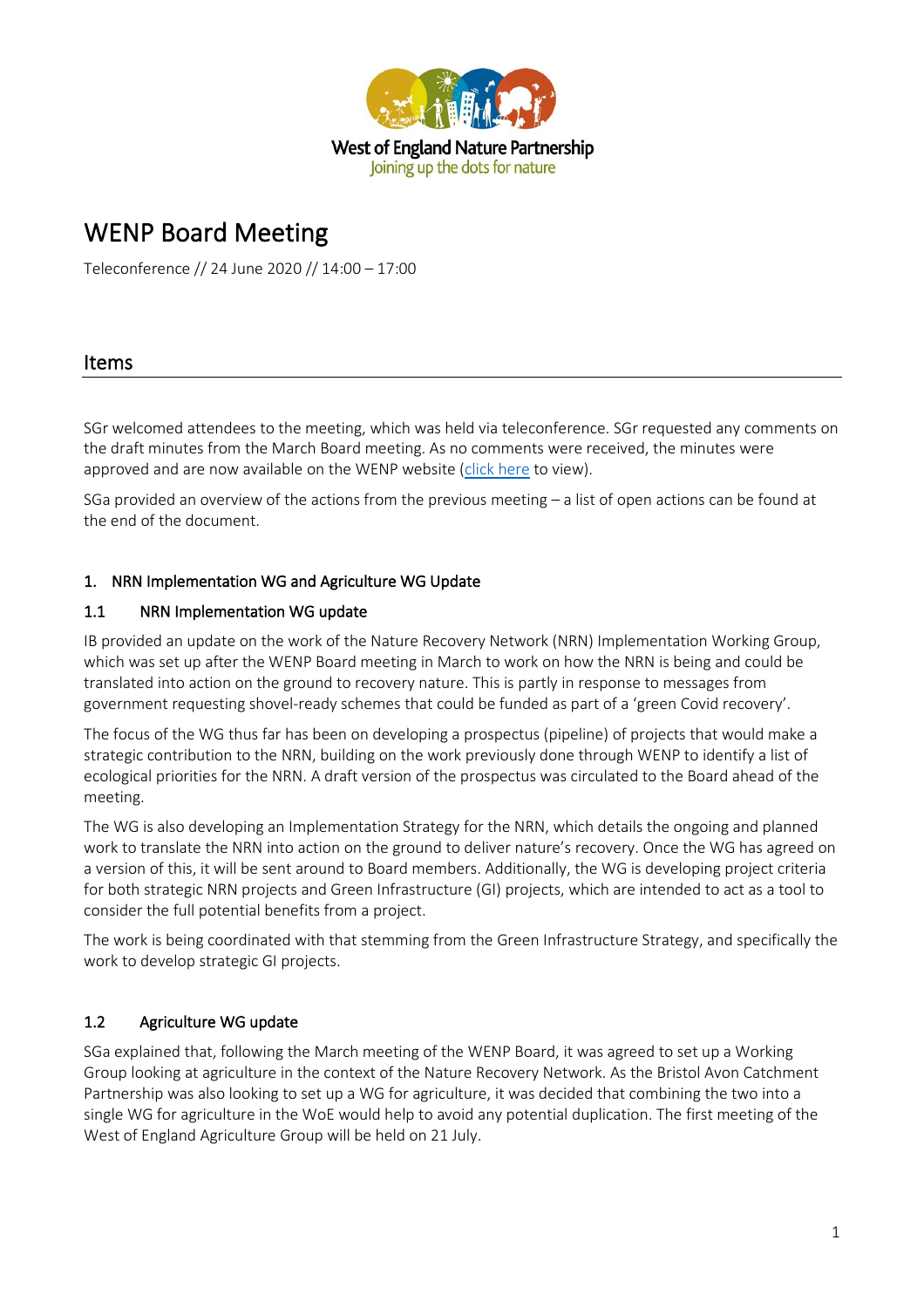

# WENP Board Meeting

Teleconference // 24 June 2020 // 14:00 – 17:00

## Items

SGr welcomed attendees to the meeting, which was held via teleconference. SGr requested any comments on the draft minutes from the March Board meeting. As no comments were received, the minutes were approved and are now available on the WENP website [\(click here](https://www.wenp.org.uk/wp-content/uploads/2020/06/2020.03-WENP-Board-Minutes.pdf) to view).

SGa provided an overview of the actions from the previous meeting – a list of open actions can be found at the end of the document.

#### 1. NRN Implementation WG and Agriculture WG Update

#### 1.1 NRN Implementation WG update

IB provided an update on the work of the Nature Recovery Network (NRN) Implementation Working Group, which was set up after the WENP Board meeting in March to work on how the NRN is being and could be translated into action on the ground to recovery nature. This is partly in response to messages from government requesting shovel-ready schemes that could be funded as part of a 'green Covid recovery'.

The focus of the WG thus far has been on developing a prospectus (pipeline) of projects that would make a strategic contribution to the NRN, building on the work previously done through WENP to identify a list of ecological priorities for the NRN. A draft version of the prospectus was circulated to the Board ahead of the meeting.

The WG is also developing an Implementation Strategy for the NRN, which details the ongoing and planned work to translate the NRN into action on the ground to deliver nature's recovery. Once the WG has agreed on a version of this, it will be sent around to Board members. Additionally, the WG is developing project criteria for both strategic NRN projects and Green Infrastructure (GI) projects, which are intended to act as a tool to consider the full potential benefits from a project.

The work is being coordinated with that stemming from the Green Infrastructure Strategy, and specifically the work to develop strategic GI projects.

## 1.2 Agriculture WG update

SGa explained that, following the March meeting of the WENP Board, it was agreed to set up a Working Group looking at agriculture in the context of the Nature Recovery Network. As the Bristol Avon Catchment Partnership was also looking to set up a WG for agriculture, it was decided that combining the two into a single WG for agriculture in the WoE would help to avoid any potential duplication. The first meeting of the West of England Agriculture Group will be held on 21 July.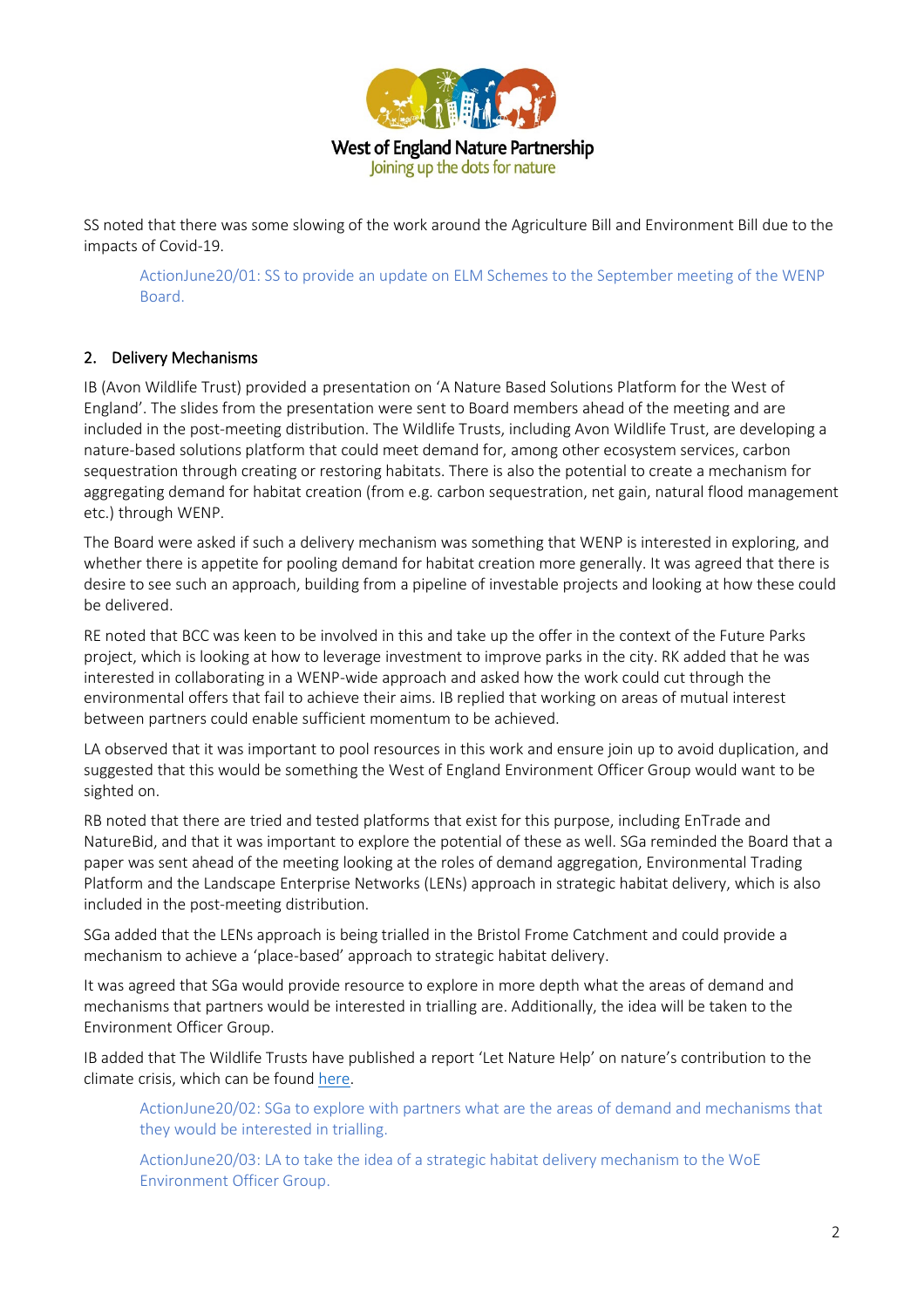

SS noted that there was some slowing of the work around the Agriculture Bill and Environment Bill due to the impacts of Covid-19.

ActionJune20/01: SS to provide an update on ELM Schemes to the September meeting of the WENP Board.

## 2. Delivery Mechanisms

IB (Avon Wildlife Trust) provided a presentation on 'A Nature Based Solutions Platform for the West of England'. The slides from the presentation were sent to Board members ahead of the meeting and are included in the post-meeting distribution. The Wildlife Trusts, including Avon Wildlife Trust, are developing a nature-based solutions platform that could meet demand for, among other ecosystem services, carbon sequestration through creating or restoring habitats. There is also the potential to create a mechanism for aggregating demand for habitat creation (from e.g. carbon sequestration, net gain, natural flood management etc.) through WENP.

The Board were asked if such a delivery mechanism was something that WENP is interested in exploring, and whether there is appetite for pooling demand for habitat creation more generally. It was agreed that there is desire to see such an approach, building from a pipeline of investable projects and looking at how these could be delivered.

RE noted that BCC was keen to be involved in this and take up the offer in the context of the Future Parks project, which is looking at how to leverage investment to improve parks in the city. RK added that he was interested in collaborating in a WENP-wide approach and asked how the work could cut through the environmental offers that fail to achieve their aims. IB replied that working on areas of mutual interest between partners could enable sufficient momentum to be achieved.

LA observed that it was important to pool resources in this work and ensure join up to avoid duplication, and suggested that this would be something the West of England Environment Officer Group would want to be sighted on.

RB noted that there are tried and tested platforms that exist for this purpose, including EnTrade and NatureBid, and that it was important to explore the potential of these as well. SGa reminded the Board that a paper was sent ahead of the meeting looking at the roles of demand aggregation, Environmental Trading Platform and the Landscape Enterprise Networks (LENs) approach in strategic habitat delivery, which is also included in the post-meeting distribution.

SGa added that the LENs approach is being trialled in the Bristol Frome Catchment and could provide a mechanism to achieve a 'place-based' approach to strategic habitat delivery.

It was agreed that SGa would provide resource to explore in more depth what the areas of demand and mechanisms that partners would be interested in trialling are. Additionally, the idea will be taken to the Environment Officer Group.

IB added that The Wildlife Trusts have published a report 'Let Nature Help' on nature's contribution to the climate crisis, which can be found [here.](https://www.somersetwildlife.org/sites/default/files/2020-06/Let%20Nature%20Help.pdf)

ActionJune20/02: SGa to explore with partners what are the areas of demand and mechanisms that they would be interested in trialling.

ActionJune20/03: LA to take the idea of a strategic habitat delivery mechanism to the WoE Environment Officer Group.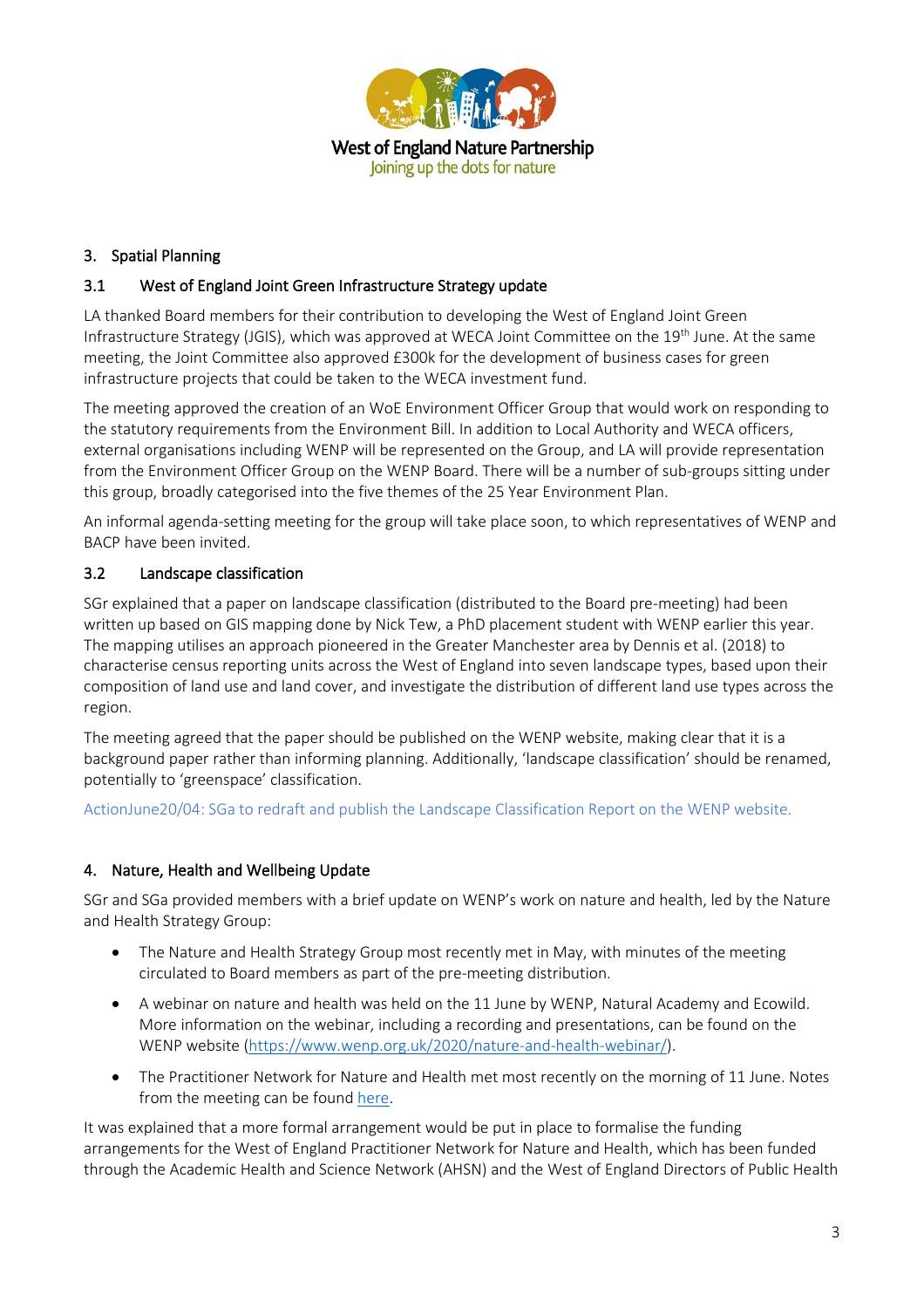

## 3. Spatial Planning

### 3.1 West of England Joint Green Infrastructure Strategy update

LA thanked Board members for their contribution to developing the West of England Joint Green Infrastructure Strategy (JGIS), which was approved at WECA Joint Committee on the 19<sup>th</sup> June. At the same meeting, the Joint Committee also approved £300k for the development of business cases for green infrastructure projects that could be taken to the WECA investment fund.

The meeting approved the creation of an WoE Environment Officer Group that would work on responding to the statutory requirements from the Environment Bill. In addition to Local Authority and WECA officers, external organisations including WENP will be represented on the Group, and LA will provide representation from the Environment Officer Group on the WENP Board. There will be a number of sub-groups sitting under this group, broadly categorised into the five themes of the 25 Year Environment Plan.

An informal agenda-setting meeting for the group will take place soon, to which representatives of WENP and BACP have been invited.

#### 3.2 Landscape classification

SGr explained that a paper on landscape classification (distributed to the Board pre-meeting) had been written up based on GIS mapping done by Nick Tew, a PhD placement student with WENP earlier this year. The mapping utilises an approach pioneered in the Greater Manchester area by Dennis et al. (2018) to characterise census reporting units across the West of England into seven landscape types, based upon their composition of land use and land cover, and investigate the distribution of different land use types across the region.

The meeting agreed that the paper should be published on the WENP website, making clear that it is a background paper rather than informing planning. Additionally, 'landscape classification' should be renamed, potentially to 'greenspace' classification.

ActionJune20/04: SGa to redraft and publish the Landscape Classification Report on the WENP website.

## 4. Nature, Health and Wellbeing Update

SGr and SGa provided members with a brief update on WENP's work on nature and health, led by the Nature and Health Strategy Group:

- The Nature and Health Strategy Group most recently met in May, with minutes of the meeting circulated to Board members as part of the pre-meeting distribution.
- A webinar on nature and health was held on the 11 June by WENP, Natural Academy and Ecowild. More information on the webinar, including a recording and presentations, can be found on the WENP website [\(https://www.wenp.org.uk/2020/nature-and-health-webinar/\)](https://www.wenp.org.uk/2020/nature-and-health-webinar/).
- The Practitioner Network for Nature and Health met most recently on the morning of 11 June. Notes from the meeting can be found [here.](https://www.wenp.org.uk/wp-content/uploads/2020/06/WoE-Practitioner-Network-for-Nature-and-Health-Jun-20-Notes.pdf)

It was explained that a more formal arrangement would be put in place to formalise the funding arrangements for the West of England Practitioner Network for Nature and Health, which has been funded through the Academic Health and Science Network (AHSN) and the West of England Directors of Public Health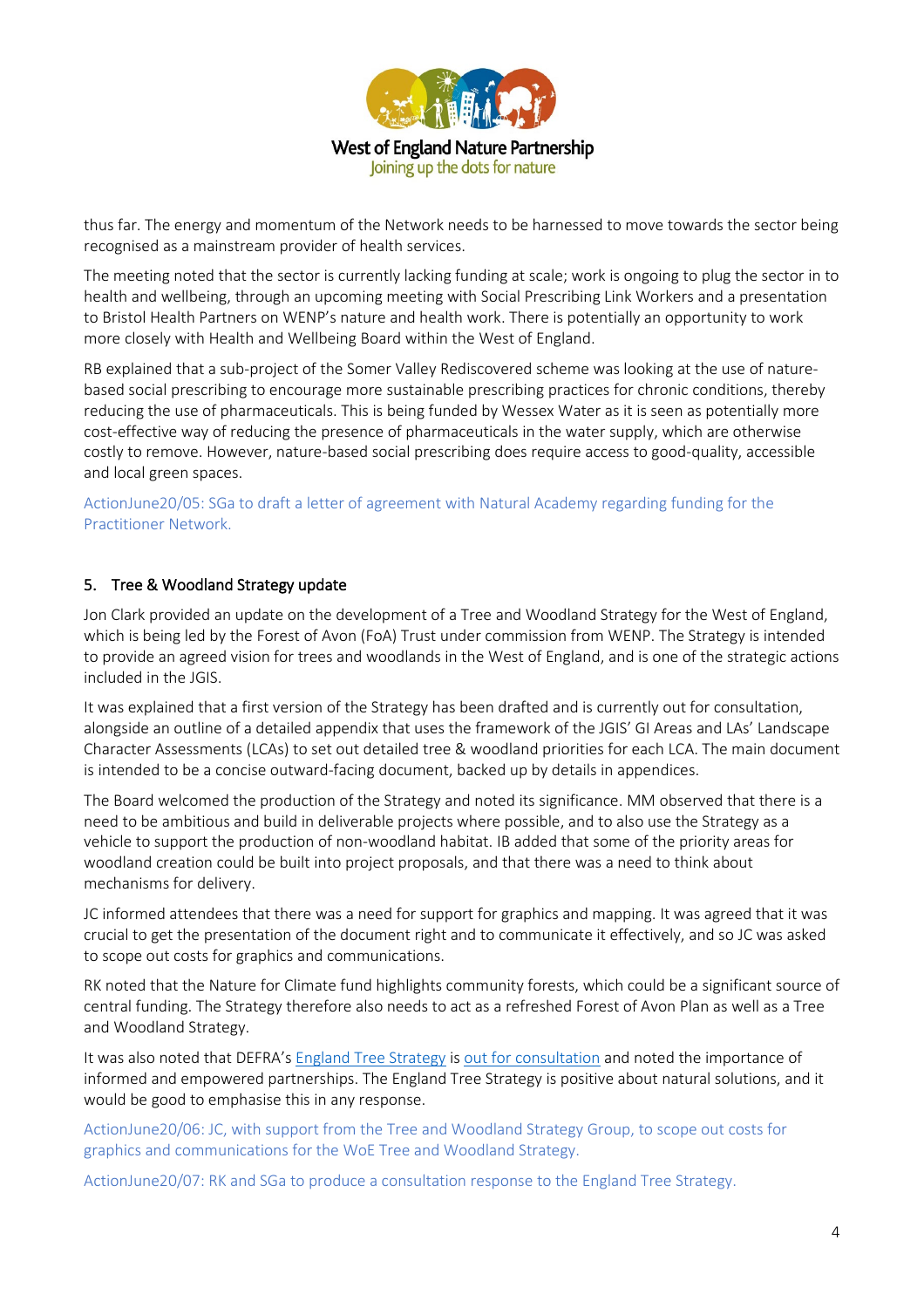

thus far. The energy and momentum of the Network needs to be harnessed to move towards the sector being recognised as a mainstream provider of health services.

The meeting noted that the sector is currently lacking funding at scale; work is ongoing to plug the sector in to health and wellbeing, through an upcoming meeting with Social Prescribing Link Workers and a presentation to Bristol Health Partners on WENP's nature and health work. There is potentially an opportunity to work more closely with Health and Wellbeing Board within the West of England.

RB explained that a sub-project of the Somer Valley Rediscovered scheme was looking at the use of naturebased social prescribing to encourage more sustainable prescribing practices for chronic conditions, thereby reducing the use of pharmaceuticals. This is being funded by Wessex Water as it is seen as potentially more cost-effective way of reducing the presence of pharmaceuticals in the water supply, which are otherwise costly to remove. However, nature-based social prescribing does require access to good-quality, accessible and local green spaces.

ActionJune20/05: SGa to draft a letter of agreement with Natural Academy regarding funding for the Practitioner Network.

#### 5. Tree & Woodland Strategy update

Jon Clark provided an update on the development of a Tree and Woodland Strategy for the West of England, which is being led by the Forest of Avon (FoA) Trust under commission from WENP. The Strategy is intended to provide an agreed vision for trees and woodlands in the West of England, and is one of the strategic actions included in the JGIS.

It was explained that a first version of the Strategy has been drafted and is currently out for consultation, alongside an outline of a detailed appendix that uses the framework of the JGIS' GI Areas and LAs' Landscape Character Assessments (LCAs) to set out detailed tree & woodland priorities for each LCA. The main document is intended to be a concise outward-facing document, backed up by details in appendices.

The Board welcomed the production of the Strategy and noted its significance. MM observed that there is a need to be ambitious and build in deliverable projects where possible, and to also use the Strategy as a vehicle to support the production of non-woodland habitat. IB added that some of the priority areas for woodland creation could be built into project proposals, and that there was a need to think about mechanisms for delivery.

JC informed attendees that there was a need for support for graphics and mapping. It was agreed that it was crucial to get the presentation of the document right and to communicate it effectively, and so JC was asked to scope out costs for graphics and communications.

RK noted that the Nature for Climate fund highlights community forests, which could be a significant source of central funding. The Strategy therefore also needs to act as a refreshed Forest of Avon Plan as well as a Tree and Woodland Strategy.

It was also noted that DEFRA's [England Tree Strategy](https://consult.defra.gov.uk/forestry/england-tree-strategy/supporting_documents/englandtreestrategyconsultationdocument.pdf) is [out for consultation](https://consult.defra.gov.uk/forestry/england-tree-strategy/#:%7E:text=The%20strategy%20will%20set%20out,climate%20change%20and%20recover%20biodiversity.) and noted the importance of informed and empowered partnerships. The England Tree Strategy is positive about natural solutions, and it would be good to emphasise this in any response.

ActionJune20/06: JC, with support from the Tree and Woodland Strategy Group, to scope out costs for graphics and communications for the WoE Tree and Woodland Strategy.

ActionJune20/07: RK and SGa to produce a consultation response to the England Tree Strategy.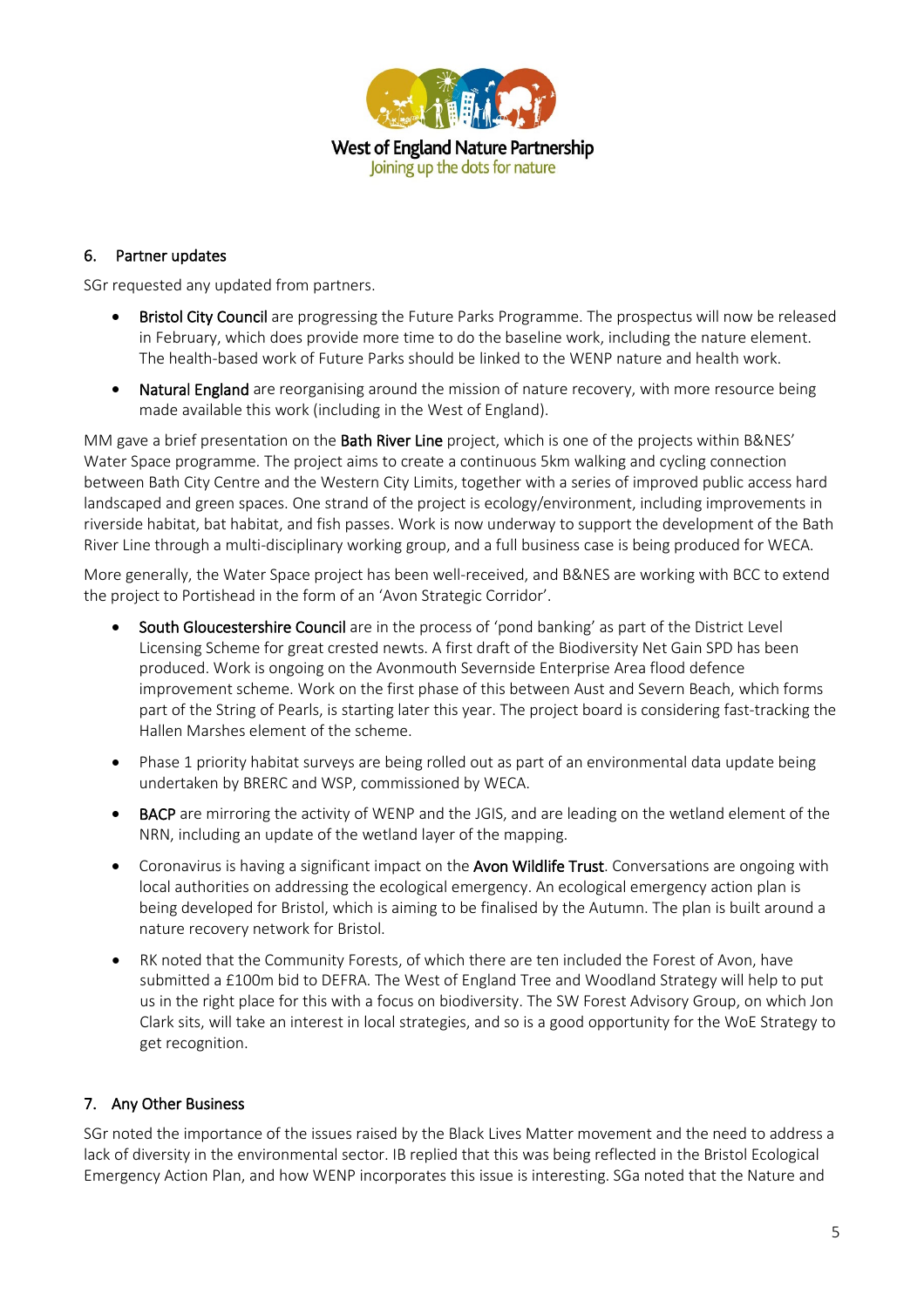

#### 6. Partner updates

SGr requested any updated from partners.

- Bristol City Council are progressing the Future Parks Programme. The prospectus will now be released in February, which does provide more time to do the baseline work, including the nature element. The health-based work of Future Parks should be linked to the WENP nature and health work.
- Natural England are reorganising around the mission of nature recovery, with more resource being made available this work (including in the West of England).

MM gave a brief presentation on the **Bath River Line** project, which is one of the projects within B&NES' Water Space programme. The project aims to create a continuous 5km walking and cycling connection between Bath City Centre and the Western City Limits, together with a series of improved public access hard landscaped and green spaces. One strand of the project is ecology/environment, including improvements in riverside habitat, bat habitat, and fish passes. Work is now underway to support the development of the Bath River Line through a multi-disciplinary working group, and a full business case is being produced for WECA.

More generally, the Water Space project has been well-received, and B&NES are working with BCC to extend the project to Portishead in the form of an 'Avon Strategic Corridor'.

- South Gloucestershire Council are in the process of 'pond banking' as part of the District Level Licensing Scheme for great crested newts. A first draft of the Biodiversity Net Gain SPD has been produced. Work is ongoing on the Avonmouth Severnside Enterprise Area flood defence improvement scheme. Work on the first phase of this between Aust and Severn Beach, which forms part of the String of Pearls, is starting later this year. The project board is considering fast-tracking the Hallen Marshes element of the scheme.
- Phase 1 priority habitat surveys are being rolled out as part of an environmental data update being undertaken by BRERC and WSP, commissioned by WECA.
- **BACP** are mirroring the activity of WENP and the JGIS, and are leading on the wetland element of the NRN, including an update of the wetland layer of the mapping.
- Coronavirus is having a significant impact on the Avon Wildlife Trust. Conversations are ongoing with local authorities on addressing the ecological emergency. An ecological emergency action plan is being developed for Bristol, which is aiming to be finalised by the Autumn. The plan is built around a nature recovery network for Bristol.
- RK noted that the Community Forests, of which there are ten included the Forest of Avon, have submitted a £100m bid to DEFRA. The West of England Tree and Woodland Strategy will help to put us in the right place for this with a focus on biodiversity. The SW Forest Advisory Group, on which Jon Clark sits, will take an interest in local strategies, and so is a good opportunity for the WoE Strategy to get recognition.

## 7. Any Other Business

SGr noted the importance of the issues raised by the Black Lives Matter movement and the need to address a lack of diversity in the environmental sector. IB replied that this was being reflected in the Bristol Ecological Emergency Action Plan, and how WENP incorporates this issue is interesting. SGa noted that the Nature and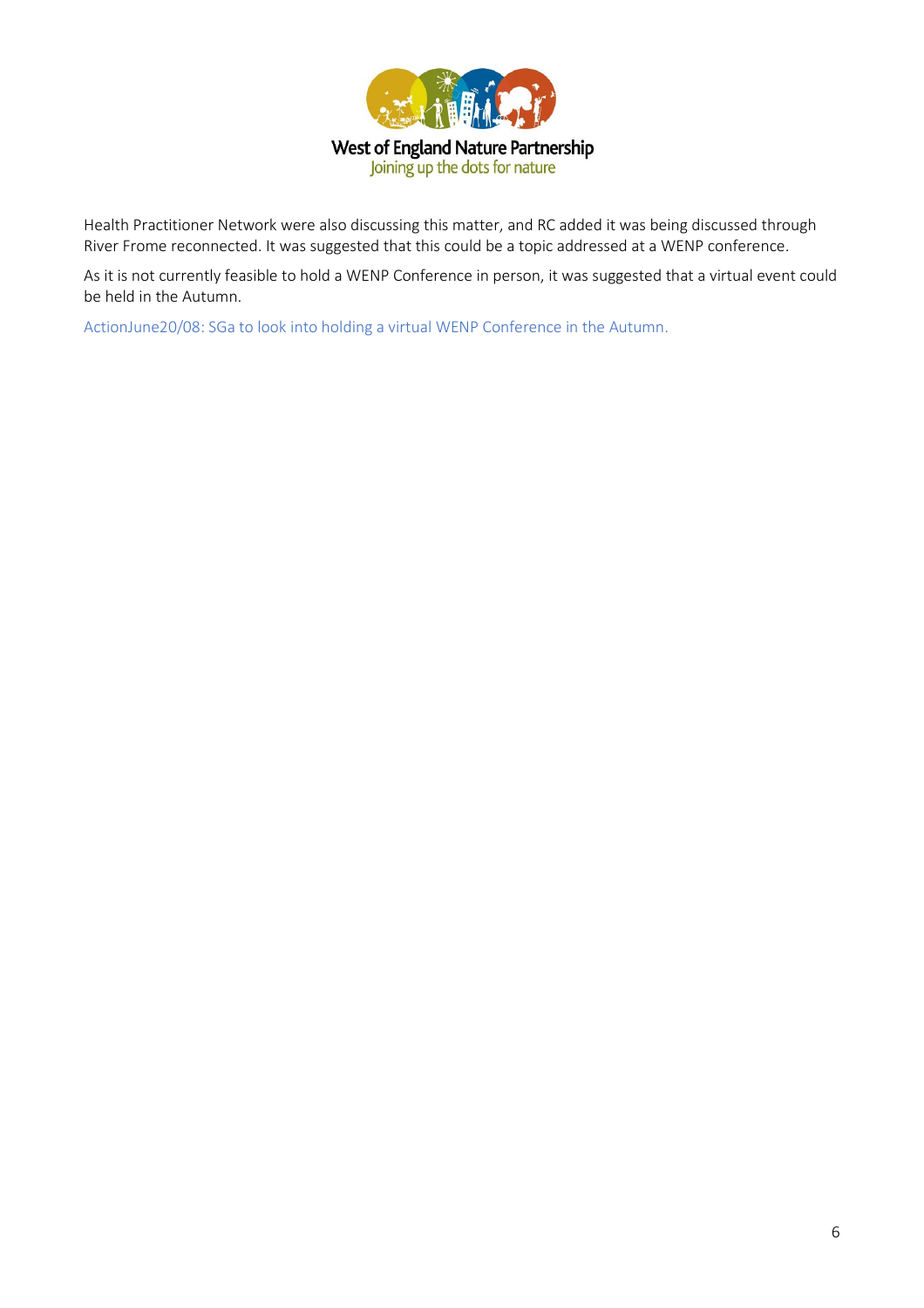

Health Practitioner Network were also discussing this matter, and RC added it was being discussed through River Frome reconnected. It was suggested that this could be a topic addressed at a WENP conference.

As it is not currently feasible to hold a WENP Conference in person, it was suggested that a virtual event could be held in the Autumn.

ActionJune20/08: SGa to look into holding a virtual WENP Conference in the Autumn.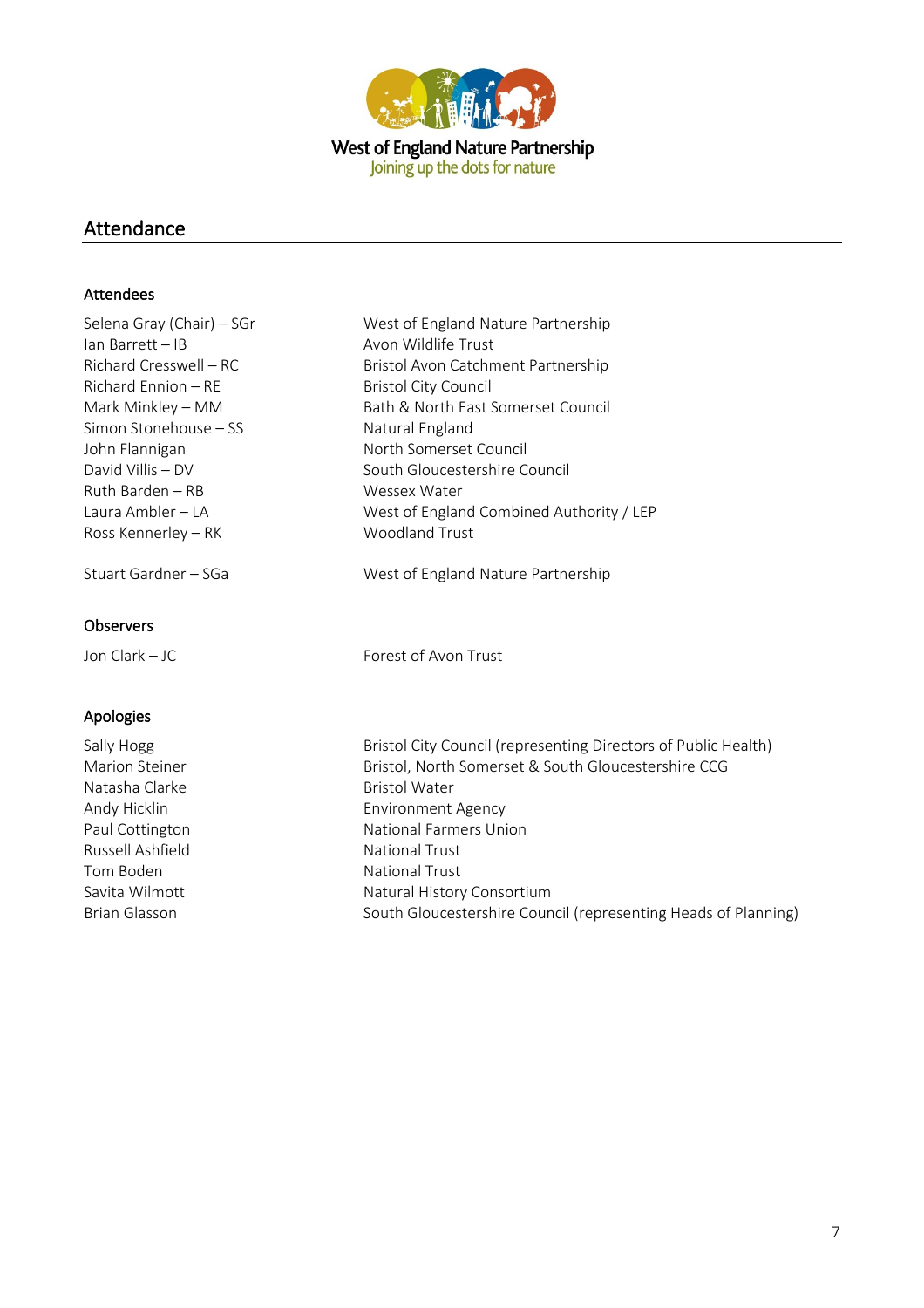

## Attendance

#### Attendees

| Selena Gray (Chair) – SGr   | West of England Nature Partnership       |
|-----------------------------|------------------------------------------|
| Ian Barrett - IB            | Avon Wildlife Trust                      |
| Richard Cresswell – RC      | Bristol Avon Catchment Partnership       |
| Richard Ennion – RE         | Bristol City Council                     |
| Mark Minkley – MM           | Bath & North East Somerset Council       |
| Simon Stonehouse – SS       | Natural England                          |
| John Flannigan              | North Somerset Council                   |
| David Villis – DV           | South Gloucestershire Council            |
| Ruth Barden – RB            | Wessex Water                             |
| Laura Ambler – LA           | West of England Combined Authority / LEP |
| Ross Kennerley – RK         | <b>Woodland Trust</b>                    |
| Stuart Gardner – SGa        | West of England Nature Partnership       |
| Observers<br>Jon Clark - JC | Forest of Avon Trust                     |

Natasha Clarke **Bristol Water** Bristol Water Russell Ashfield National Trust Tom Boden National Trust

Apologies

Sally Hogg<br>
Bristol City Council (representing Directors of Public Health)<br>
Bristol, North Somerset & South Gloucestershire CCG Bristol, North Somerset & South Gloucestershire CCG Andy Hicklin **Environment Agency** Paul Cottington **National Farmers Union** Savita Wilmott Natural History Consortium Brian Glasson South Gloucestershire Council (representing Heads of Planning)